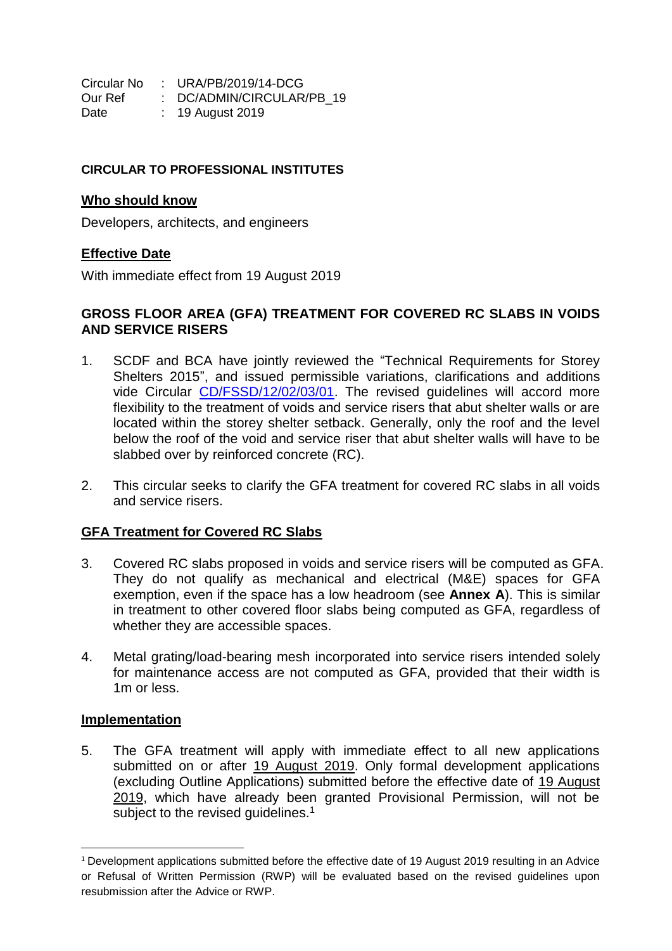Circular No : URA/PB/2019/14-DCG Our Ref : DC/ADMIN/CIRCULAR/PB\_19 Date : 19 August 2019

### **CIRCULAR TO PROFESSIONAL INSTITUTES**

#### **Who should know**

Developers, architects, and engineers

## **Effective Date**

With immediate effect from 19 August 2019

### **GROSS FLOOR AREA (GFA) TREATMENT FOR COVERED RC SLABS IN VOIDS AND SERVICE RISERS**

- 1. SCDF and BCA have jointly reviewed the "Technical Requirements for Storey Shelters 2015", and issued permissible variations, clarifications and additions vide Circular [CD/FSSD/12/02/03/01.](https://www.corenet.gov.sg/media/2268628/circular-permissible-variations_clarifications_insertions-to-technical-requirements-for-storey-shelters-tr-ss-2015.PDF) The revised guidelines will accord more flexibility to the treatment of voids and service risers that abut shelter walls or are located within the storey shelter setback. Generally, only the roof and the level below the roof of the void and service riser that abut shelter walls will have to be slabbed over by reinforced concrete (RC).
- 2. This circular seeks to clarify the GFA treatment for covered RC slabs in all voids and service risers.

## **GFA Treatment for Covered RC Slabs**

- 3. Covered RC slabs proposed in voids and service risers will be computed as GFA. They do not qualify as mechanical and electrical (M&E) spaces for GFA exemption, even if the space has a low headroom (see **Annex A**). This is similar in treatment to other covered floor slabs being computed as GFA, regardless of whether they are accessible spaces.
- 4. Metal grating/load-bearing mesh incorporated into service risers intended solely for maintenance access are not computed as GFA, provided that their width is 1m or less.

## **Implementation**

**.** 

5. The GFA treatment will apply with immediate effect to all new applications submitted on or after 19 August 2019. Only formal development applications (excluding Outline Applications) submitted before the effective date of 19 August 2019, which have already been granted Provisional Permission, will not be subject to the revised quidelines.<sup>1</sup>

<sup>1</sup> Development applications submitted before the effective date of 19 August 2019 resulting in an Advice or Refusal of Written Permission (RWP) will be evaluated based on the revised guidelines upon resubmission after the Advice or RWP.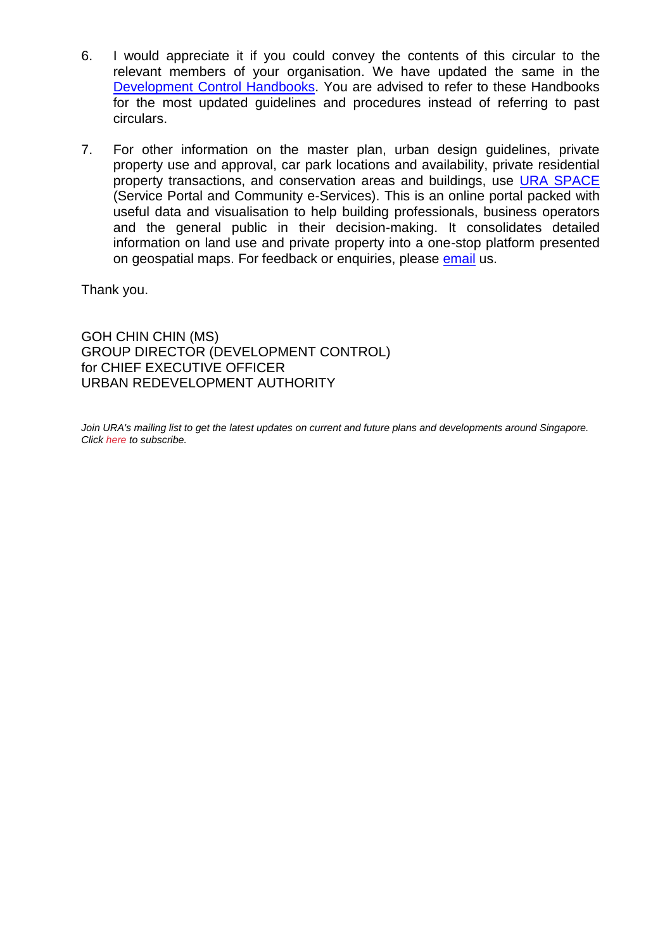- 6. I would appreciate it if you could convey the contents of this circular to the relevant members of your organisation. We have updated the same in the [Development Control Handbooks.](https://www.ura.gov.sg/corporate/guidelines/Development-Control) You are advised to refer to these Handbooks for the most updated guidelines and procedures instead of referring to past circulars.
- 7. For other information on the master plan, urban design guidelines, private property use and approval, car park locations and availability, private residential property transactions, and conservation areas and buildings, use [URA SPACE](https://www.ura.gov.sg/maps/) (Service Portal and Community e-Services). This is an online portal packed with useful data and visualisation to help building professionals, business operators and the general public in their decision-making. It consolidates detailed information on land use and private property into a one-stop platform presented on geospatial maps. For feedback or enquiries, please [email](https://www.ura.gov.sg/feedbackWeb/contactus_feedback.jsp) us.

Thank you.

GOH CHIN CHIN (MS) GROUP DIRECTOR (DEVELOPMENT CONTROL) for CHIEF EXECUTIVE OFFICER URBAN REDEVELOPMENT AUTHORITY

Join URA's mailing list to get the latest updates on current and future plans and developments around Singapore. *Click [here](http://ura.sg/subscribe) to subscribe.*